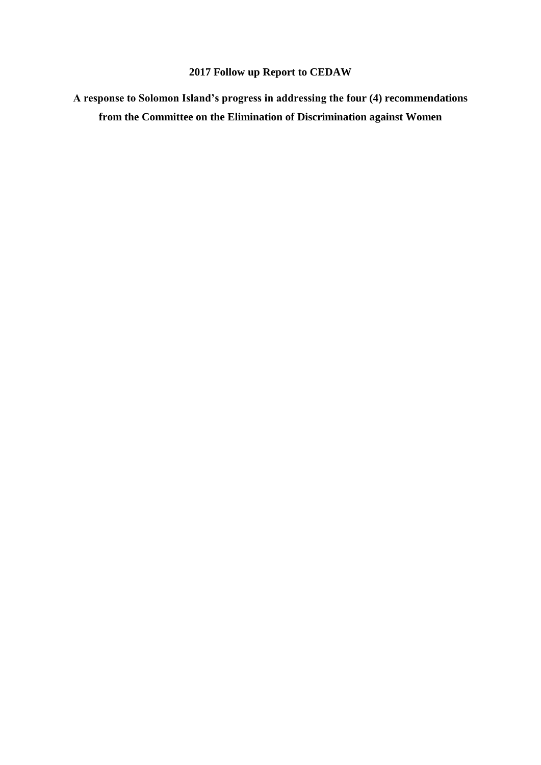## **2017 Follow up Report to CEDAW**

**A response to Solomon Island's progress in addressing the four (4) recommendations from the Committee on the Elimination of Discrimination against Women**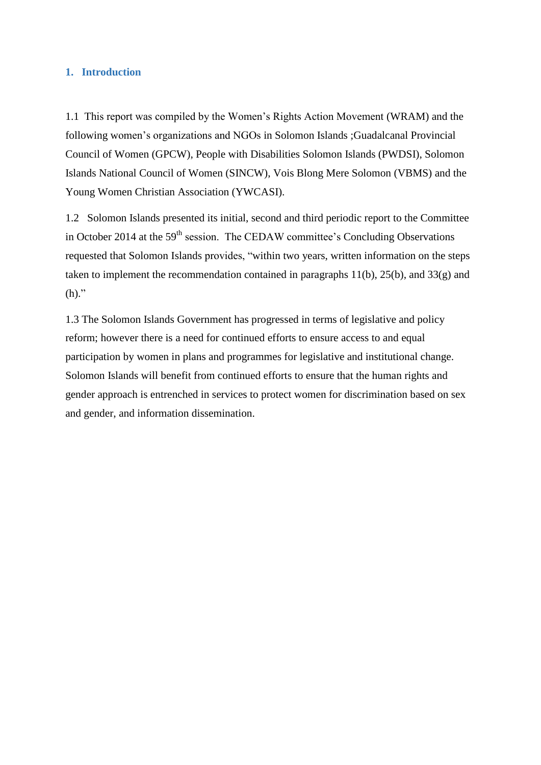## **1. Introduction**

1.1 This report was compiled by the Women's Rights Action Movement (WRAM) and the following women's organizations and NGOs in Solomon Islands ;Guadalcanal Provincial Council of Women (GPCW), People with Disabilities Solomon Islands (PWDSI), Solomon Islands National Council of Women (SINCW), Vois Blong Mere Solomon (VBMS) and the Young Women Christian Association (YWCASI).

1.2 Solomon Islands presented its initial, second and third periodic report to the Committee in October 2014 at the 59<sup>th</sup> session. The CEDAW committee's Concluding Observations requested that Solomon Islands provides, "within two years, written information on the steps taken to implement the recommendation contained in paragraphs  $11(b)$ ,  $25(b)$ , and  $33(g)$  and  $(h)$ ."

1.3 The Solomon Islands Government has progressed in terms of legislative and policy reform; however there is a need for continued efforts to ensure access to and equal participation by women in plans and programmes for legislative and institutional change. Solomon Islands will benefit from continued efforts to ensure that the human rights and gender approach is entrenched in services to protect women for discrimination based on sex and gender, and information dissemination.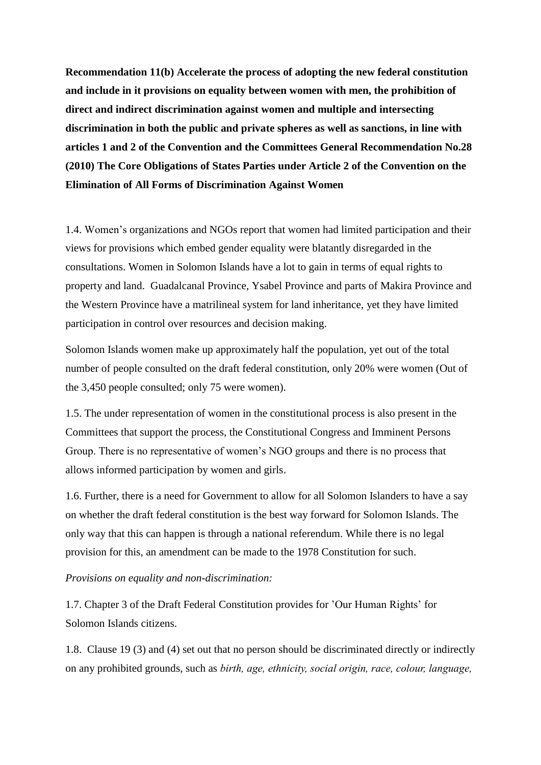**Recommendation 11(b) Accelerate the process of adopting the new federal constitution and include in it provisions on equality between women with men, the prohibition of direct and indirect discrimination against women and multiple and intersecting discrimination in both the public and private spheres as well as sanctions, in line with articles 1 and 2 of the Convention and the Committees General Recommendation No.28 (2010) The Core Obligations of States Parties under Article 2 of the Convention on the Elimination of All Forms of Discrimination Against Women**

1.4. Women's organizations and NGOs report that women had limited participation and their views for provisions which embed gender equality were blatantly disregarded in the consultations. Women in Solomon Islands have a lot to gain in terms of equal rights to property and land. Guadalcanal Province, Ysabel Province and parts of Makira Province and the Western Province have a matrilineal system for land inheritance, yet they have limited participation in control over resources and decision making.

Solomon Islands women make up approximately half the population, yet out of the total number of people consulted on the draft federal constitution, only 20% were women (Out of the 3,450 people consulted; only 75 were women).

1.5. The under representation of women in the constitutional process is also present in the Committees that support the process, the Constitutional Congress and Imminent Persons Group. There is no representative of women's NGO groups and there is no process that allows informed participation by women and girls.

1.6. Further, there is a need for Government to allow for all Solomon Islanders to have a say on whether the draft federal constitution is the best way forward for Solomon Islands. The only way that this can happen is through a national referendum. While there is no legal provision for this, an amendment can be made to the 1978 Constitution for such.

## *Provisions on equality and non-discrimination:*

1.7. Chapter 3 of the Draft Federal Constitution provides for 'Our Human Rights' for Solomon Islands citizens.

1.8. Clause 19 (3) and (4) set out that no person should be discriminated directly or indirectly on any prohibited grounds, such as *birth, age, ethnicity, social origin, race, colour, language,*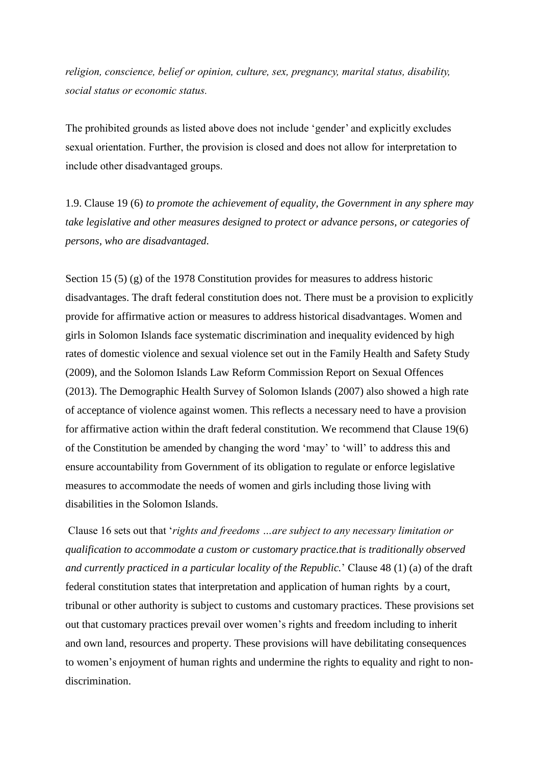*religion, conscience, belief or opinion, culture, sex, pregnancy, marital status, disability, social status or economic status.*

The prohibited grounds as listed above does not include 'gender' and explicitly excludes sexual orientation. Further, the provision is closed and does not allow for interpretation to include other disadvantaged groups.

1.9. Clause 19 (6) *to promote the achievement of equality, the Government in any sphere may take legislative and other measures designed to protect or advance persons, or categories of persons, who are disadvantaged.*

Section 15 (5) (g) of the 1978 Constitution provides for measures to address historic disadvantages. The draft federal constitution does not. There must be a provision to explicitly provide for affirmative action or measures to address historical disadvantages. Women and girls in Solomon Islands face systematic discrimination and inequality evidenced by high rates of domestic violence and sexual violence set out in the Family Health and Safety Study (2009), and the Solomon Islands Law Reform Commission Report on Sexual Offences (2013). The Demographic Health Survey of Solomon Islands (2007) also showed a high rate of acceptance of violence against women. This reflects a necessary need to have a provision for affirmative action within the draft federal constitution. We recommend that Clause 19(6) of the Constitution be amended by changing the word 'may' to 'will' to address this and ensure accountability from Government of its obligation to regulate or enforce legislative measures to accommodate the needs of women and girls including those living with disabilities in the Solomon Islands.

Clause 16 sets out that '*rights and freedoms …are subject to any necessary limitation or qualification to accommodate a custom or customary practice.that is traditionally observed and currently practiced in a particular locality of the Republic.*' Clause 48 (1) (a) of the draft federal constitution states that interpretation and application of human rights by a court, tribunal or other authority is subject to customs and customary practices. These provisions set out that customary practices prevail over women's rights and freedom including to inherit and own land, resources and property. These provisions will have debilitating consequences to women's enjoyment of human rights and undermine the rights to equality and right to nondiscrimination.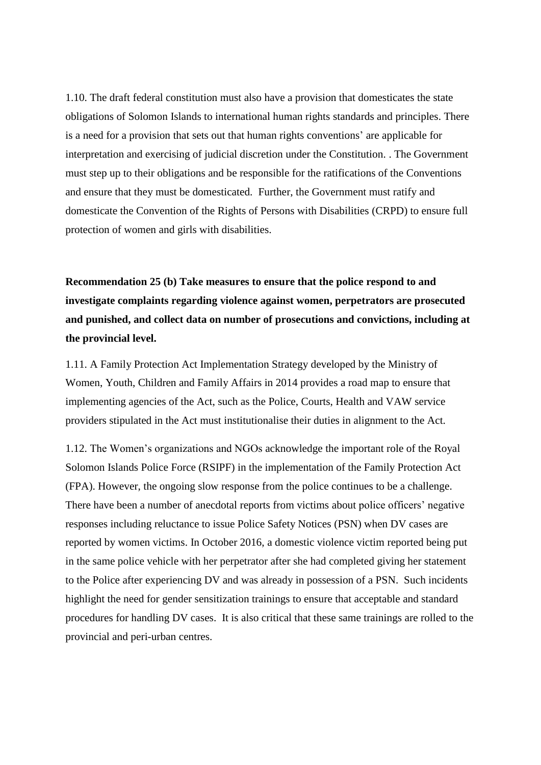1.10. The draft federal constitution must also have a provision that domesticates the state obligations of Solomon Islands to international human rights standards and principles. There is a need for a provision that sets out that human rights conventions' are applicable for interpretation and exercising of judicial discretion under the Constitution. . The Government must step up to their obligations and be responsible for the ratifications of the Conventions and ensure that they must be domesticated. Further, the Government must ratify and domesticate the Convention of the Rights of Persons with Disabilities (CRPD) to ensure full protection of women and girls with disabilities.

**Recommendation 25 (b) Take measures to ensure that the police respond to and investigate complaints regarding violence against women, perpetrators are prosecuted and punished, and collect data on number of prosecutions and convictions, including at the provincial level.**

1.11. A Family Protection Act Implementation Strategy developed by the Ministry of Women, Youth, Children and Family Affairs in 2014 provides a road map to ensure that implementing agencies of the Act, such as the Police, Courts, Health and VAW service providers stipulated in the Act must institutionalise their duties in alignment to the Act.

1.12. The Women's organizations and NGOs acknowledge the important role of the Royal Solomon Islands Police Force (RSIPF) in the implementation of the Family Protection Act (FPA). However, the ongoing slow response from the police continues to be a challenge. There have been a number of anecdotal reports from victims about police officers' negative responses including reluctance to issue Police Safety Notices (PSN) when DV cases are reported by women victims. In October 2016, a domestic violence victim reported being put in the same police vehicle with her perpetrator after she had completed giving her statement to the Police after experiencing DV and was already in possession of a PSN. Such incidents highlight the need for gender sensitization trainings to ensure that acceptable and standard procedures for handling DV cases. It is also critical that these same trainings are rolled to the provincial and peri-urban centres.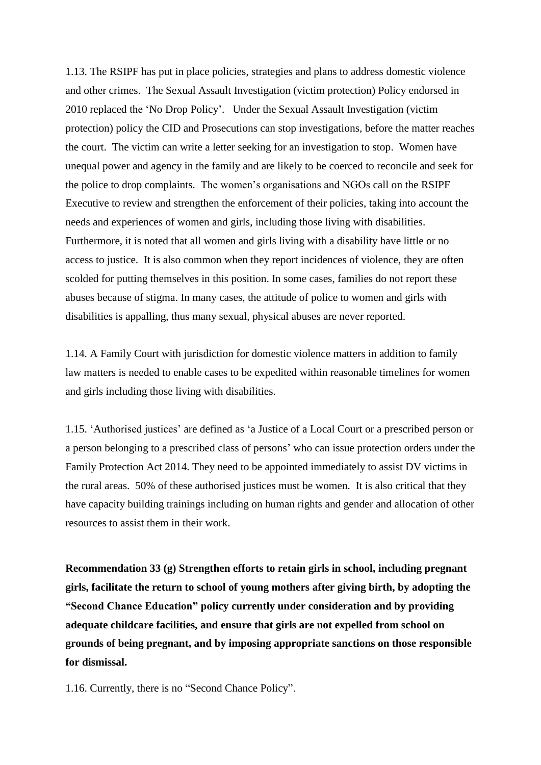1.13. The RSIPF has put in place policies, strategies and plans to address domestic violence and other crimes. The Sexual Assault Investigation (victim protection) Policy endorsed in 2010 replaced the 'No Drop Policy'. Under the Sexual Assault Investigation (victim protection) policy the CID and Prosecutions can stop investigations, before the matter reaches the court. The victim can write a letter seeking for an investigation to stop. Women have unequal power and agency in the family and are likely to be coerced to reconcile and seek for the police to drop complaints. The women's organisations and NGOs call on the RSIPF Executive to review and strengthen the enforcement of their policies, taking into account the needs and experiences of women and girls, including those living with disabilities. Furthermore, it is noted that all women and girls living with a disability have little or no access to justice. It is also common when they report incidences of violence, they are often scolded for putting themselves in this position. In some cases, families do not report these abuses because of stigma. In many cases, the attitude of police to women and girls with disabilities is appalling, thus many sexual, physical abuses are never reported.

1.14. A Family Court with jurisdiction for domestic violence matters in addition to family law matters is needed to enable cases to be expedited within reasonable timelines for women and girls including those living with disabilities.

1.15. 'Authorised justices' are defined as 'a Justice of a Local Court or a prescribed person or a person belonging to a prescribed class of persons' who can issue protection orders under the Family Protection Act 2014. They need to be appointed immediately to assist DV victims in the rural areas. 50% of these authorised justices must be women. It is also critical that they have capacity building trainings including on human rights and gender and allocation of other resources to assist them in their work.

**Recommendation 33 (g) Strengthen efforts to retain girls in school, including pregnant girls, facilitate the return to school of young mothers after giving birth, by adopting the "Second Chance Education" policy currently under consideration and by providing adequate childcare facilities, and ensure that girls are not expelled from school on grounds of being pregnant, and by imposing appropriate sanctions on those responsible for dismissal.**

1.16. Currently, there is no "Second Chance Policy".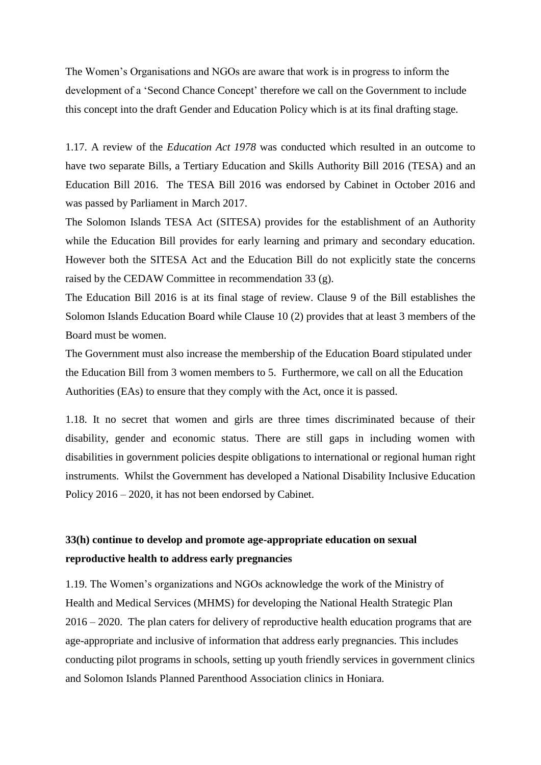The Women's Organisations and NGOs are aware that work is in progress to inform the development of a 'Second Chance Concept' therefore we call on the Government to include this concept into the draft Gender and Education Policy which is at its final drafting stage.

1.17. A review of the *Education Act 1978* was conducted which resulted in an outcome to have two separate Bills, a Tertiary Education and Skills Authority Bill 2016 (TESA) and an Education Bill 2016. The TESA Bill 2016 was endorsed by Cabinet in October 2016 and was passed by Parliament in March 2017.

The Solomon Islands TESA Act (SITESA) provides for the establishment of an Authority while the Education Bill provides for early learning and primary and secondary education. However both the SITESA Act and the Education Bill do not explicitly state the concerns raised by the CEDAW Committee in recommendation 33 (g).

The Education Bill 2016 is at its final stage of review. Clause 9 of the Bill establishes the Solomon Islands Education Board while Clause 10 (2) provides that at least 3 members of the Board must be women.

The Government must also increase the membership of the Education Board stipulated under the Education Bill from 3 women members to 5. Furthermore, we call on all the Education Authorities (EAs) to ensure that they comply with the Act, once it is passed.

1.18. It no secret that women and girls are three times discriminated because of their disability, gender and economic status. There are still gaps in including women with disabilities in government policies despite obligations to international or regional human right instruments. Whilst the Government has developed a National Disability Inclusive Education Policy 2016 – 2020, it has not been endorsed by Cabinet.

## **33(h) continue to develop and promote age-appropriate education on sexual reproductive health to address early pregnancies**

1.19. The Women's organizations and NGOs acknowledge the work of the Ministry of Health and Medical Services (MHMS) for developing the National Health Strategic Plan 2016 – 2020. The plan caters for delivery of reproductive health education programs that are age-appropriate and inclusive of information that address early pregnancies. This includes conducting pilot programs in schools, setting up youth friendly services in government clinics and Solomon Islands Planned Parenthood Association clinics in Honiara.